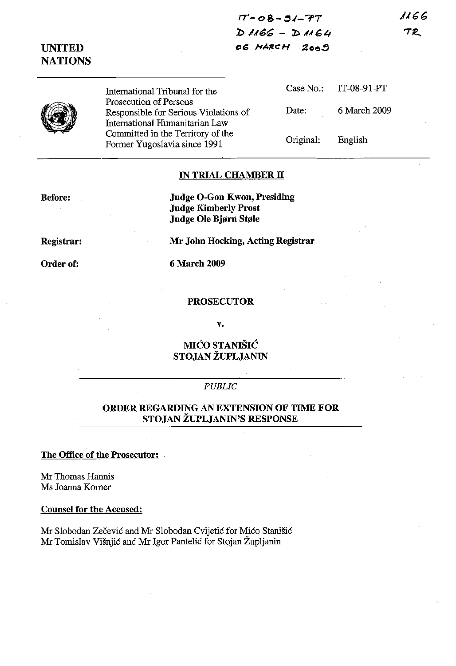**IT- 08- :U-?7** *b ,1,/6(;* **- :l:l ,M** *G t,* **oG ,.,ARCH ;Zoo!>**



**UNITED NATIONS**

> International Tribunal for the Prosecution of Persons Responsible for Serious Violations of International Humanitarian Law Committed in the Territory of the Former Yugoslavia since 1991 Case No.: IT-08-91-PT Date: 6 March 2009 Original: English

## **IN TRIAL CHAMBER II**

**Before:**

**Judge O-Gon Kwon, Presiding Judge Kimberly Prost Judge Ole Bjørn Støle** 

**Mr** John **Hocking, Acting Registrar**

**Registrar:**

**Order of:**

6 March 2009

## **PROSECUTOR**

**v.**

**MICO STANISIC STOJAN ZUPLJANIN**

## *PUBLIC*

## **ORDER REGARDING AN EXTENSION OF TIME FOR STOJAN ZUPLJANIN'S RESPONSE**

**The Office of the Prosecutor:**

Mr Thomas Hannis Ms Joanna Komer

**Counsel for the Accused:**

Mr Slobodan Zečević and Mr Slobodan Cvijetić for Mićo Stanišić Mr Tomislav Visnjic and Mr Igor Pantelic for Stojan Zupljanin

1166 **TR**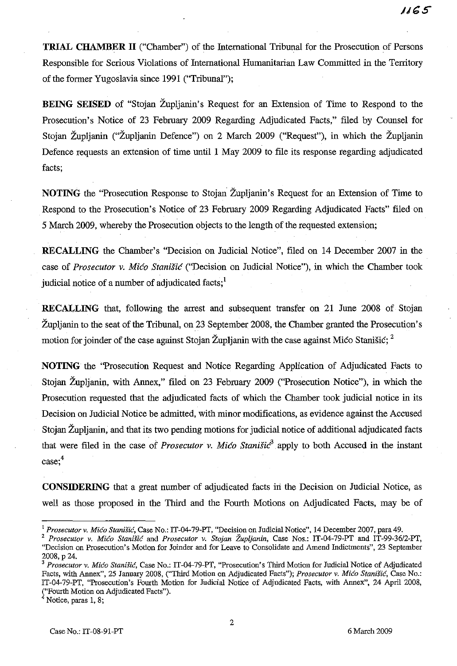**TRIAL CHAMBER II** ("Chamber") of the International Tribunal for the Prosecution of Persons Responsible for Serious Violations of International Humanitarian Law Committed in the Territory of the former Yugoslavia since 1991 ("Tribunal");

**BEING SEISED** of "Stojan Župljanin's Request for an Extension of Time to Respond to the Prosecution's Notice of 23 February 2009 Regarding Adjudicated Facts," filed by Counsel for Stojan Zupljanin ("Zupljanin Defence") on 2 March 2009 ("Request"), in which the Zupljanin Defence requests an extension of time until 1 May 2009 to file its response regarding adjudicated facts;

**NOTING** the "Prosecution Response to Stojan Župljanin's Request for an Extension of Time to Respond to the Prosecution's Notice of 23 February 2009 Regarding Adjudicated Facts" filed on 5 March 2009, whereby the Prosecution objects to the length of the requested extension;

**RECALLING** the Chamber's "Decision on Judicial Notice", filed on 14 December 2007 in the case of *Prosecutor* v. *Mico Stanisic* ("Decision on Judicial Notice"), in which the Chamber took judicial notice of a number of adjudicated facts.<sup>1</sup>

**RECALLING** that, following the arrest and subsequent transfer on 21 June 2008 of Stojan Župljanin to the seat of the Tribunal, on 23 September 2008, the Chamber granted the Prosecution's motion for joinder of the case against Stojan Župljanin with the case against Mico Stanišic;  $2^{\circ}$ 

**NOTING** the 'Prosecution Request and Notice Regarding Application of Adjudicated Facts to Stojan Zupljanin, with Annex," filed on 23 February 2009 ("Prosecution Notice"), in which the Prosecution requested that the adjudicated facts of which the Chamber took judicial notice in its Decision on Judicial Notice be admitted, with minor modifications, as evidence against the Accused Stojan Zupljanin, and that its two pending motions for judicial notice of additional adjudicated facts that were filed in the case of *Prosecutor* v. *Mico Stanisic3* apply to both Accused in the instant case;<sup>4</sup>

**CONSIDERING** that a great number of adjudicated facts in the Decision on Judicial Notice, as well as those proposed in the Third and the Fourth Motions on Adjudicated Facts, may be of

<sup>2</sup> *Prosecutor* v, *Mica Stanisic* and *Prosecutor* v. *Stojan Zupljanin,* Case Nos.: IT-04-79-PT and IT-99-36/2-PT, "Decision on Prosecution's Motion for Joinder and for Leave to Consolidate and Amend Indictments", 23 September 2008, p 24.

<sup>I</sup> *Prosecutor* v. *Mica Staniiic,* Case No.: IT*-04-79-PT,* "Decision on Judicial *Notice",* 14 December 2007, para 49.

*<sup>3</sup> Prosecutor* v. *Mica Stanisic,* Case No.: IT*-04-79-PT,* "Prosecution's Third Motion for Judicial Notice of Adjudicated Facts, with Annex", 25 January 2008, ("Third Motion on Adjndicated Facts"); *Prosecutor* v. *Mica Stanisic,* Case No.: IT-04-79-PT, "Prosecution's Fourth Motion for Judicial Notice of Adjndicated Facts, with Annex", 24 April 2008, ("Fourth Motion on Adjudicated Facts").

**<sup>4</sup> Notice, paras 1, 8;**